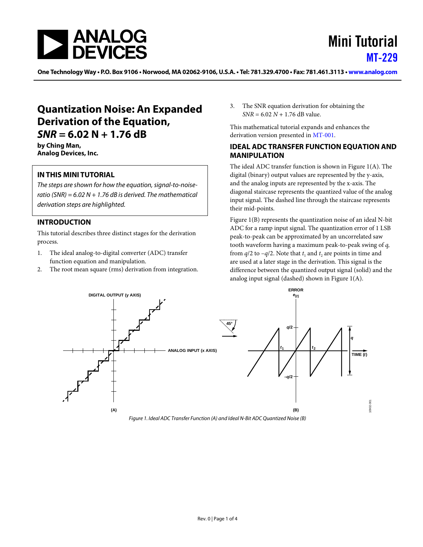

# Mini Tutorial [MT-229](www.analog.com/mt-229)

One Technology Way • P.O. Box 9106 • Norwood, MA 02062-9106, U.S.A. • Tel: 781.329.4700 • Fax: 781.461.3113 • www.analog.com

## **Quantization Noise: An Expanded Derivation of the Equation,**  *SNR* **= 6.02 N + 1.76 dB**

**by Ching Man, Analog Devices, Inc.**

#### **IN THIS MINI TUTORIAL**

*The steps are shown for how the equation, signal-to-noiseratio (SNR) = 6.02 N + 1.76 dB is derived. The mathematical derivation steps are highlighted.*

#### **INTRODUCTION**

This tutorial describes three distinct stages for the derivation process.

- 1. The ideal analog-to-digital converter (ADC) transfer function equation and manipulation.
- 2. The root mean square (rms) derivation from integration.

3. The SNR equation derivation for obtaining the *SNR* = 6.02 *N* + 1.76 dB value.

This mathematical tutorial expands and enhances the derivation version presented in [MT-001.](http://www.analog.com/MT-001) 

#### **IDEAL ADC TRANSFER FUNCTION EQUATION AND MANIPULATION**

The ideal ADC transfer function is shown in [Figure 1\(](#page-0-0)A). The digital (binary) output values are represented by the y-axis, and the analog inputs are represented by the x-axis. The diagonal staircase represents the quantized value of the analog input signal. The dashed line through the staircase represents their mid-points.

[Figure 1\(](#page-0-0)B) represents the quantization noise of an ideal N-bit ADC for a ramp input signal. The quantization error of 1 LSB peak-to-peak can be approximated by an uncorrelated saw tooth waveform having a maximum peak-to-peak swing of *q,* from  $q/2$  to  $-q/2$ . Note that  $t_1$  and  $t_2$  are points in time and are used at a later stage in the derivation. This signal is the difference between the quantized output signal (solid) and the analog input signal (dashed) shown i[n Figure 1\(](#page-0-0)A).

<span id="page-0-0"></span>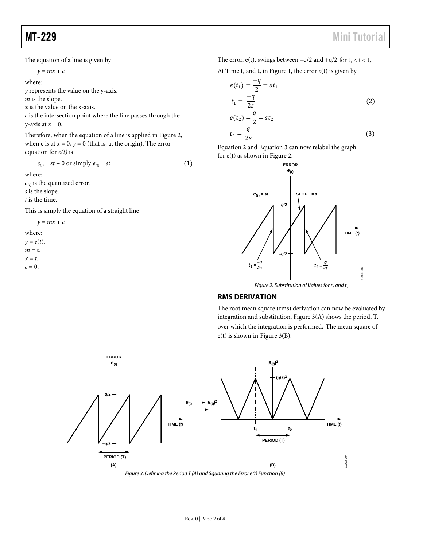The equation of a line is given by

$$
y = mx + c
$$

where:

*y* represents the value on the y-axis.

*m* is the slope.

*x* is the value on the x-axis.

*c* is the intersection point where the line passes through the y-axis at  $x = 0$ .

Therefore, when the equation of a line is applied i[n Figure 2,](#page-1-0)  when c is at  $x = 0$ ,  $y = 0$  (that is, at the origin). The error equation for *e(t)* is

 $e_{(t)} = st + 0$  or simply  $e_{(t)} = st$  (1)

where:

 $e_{(t)}$  is the quantized error. *s* is the slope.

*t* is the time.

This is simply the equation of a straight line

 $y = mx + c$ 

where:  $y = e(t)$ . *m* = *s*.  $x = t$ .  $c = 0$ .

The error, e(t), swings between  $-q/2$  and  $+q/2$  for  $t_1 < t < t_2$ .

At Time  $t_1$  and  $t_2$  in [Figure 1,](#page-0-0) the error  $e(t)$  is given by

$$
e(t_1) = \frac{-q}{2} = st_1
$$
  

$$
t_1 = \frac{-q}{2s}
$$
 (2)

$$
e(t_2) = \frac{q}{2} = st_2
$$
  

$$
t_2 = \frac{q}{2s}
$$
 (3)

Equation 2 and Equation 3 can now relabel the graph for e(t) as shown i[n Figure 2.](#page-1-0) 



*Figure 2. Substitution of Values for*  $t_1$  *and*  $t_2$ 

#### <span id="page-1-0"></span>**RMS DERIVATION**

The root mean square (rms) derivation can now be evaluated by integration and substitution. [Figure 3\(](#page-1-1)A) shows the period, T, over which the integration is performed*.* The mean square of e(t) is shown in [Figure 3\(](#page-1-1)B).

<span id="page-1-1"></span>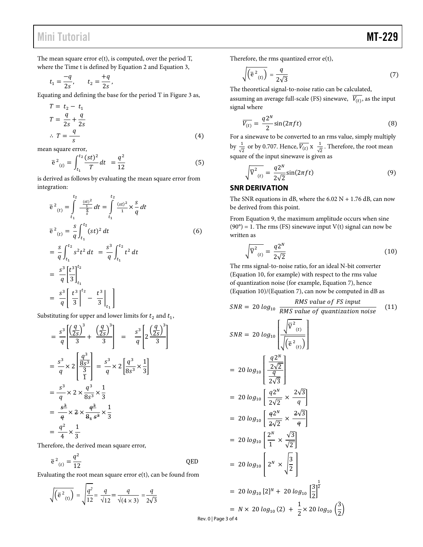## Mini Tutorial **MT-229**

The mean square error  $e(t)$ , is computed, over the period T, where the Time t is defined by Equation 2 and Equation 3,

$$
t_1 = \frac{-q}{2s}
$$
,  $t_2 = \frac{+q}{2s}$ ,

Equating and defining the base for the period T i[n Figure 3](#page-1-1) as,

$$
T = t2 - t1
$$
  
\n
$$
T = \frac{q}{2s} + \frac{q}{2s}
$$
  
\n
$$
\therefore T = \frac{q}{s}
$$
 (4)

mean square error,

$$
\overline{e}^2_{(t)} = \int_{t_1}^{t_2} \frac{(st)^2}{T} dt = \frac{q^2}{12}
$$
 (5)

is derived as follows by evaluating the mean square error from integration:

$$
\overline{e}^{2}_{(t)} = \int_{t_1}^{t_2} \frac{\frac{(st)^2}{4}}{\frac{q}{s}} dt = \int_{t_1}^{t_2} \frac{(st)^2}{4} \times \frac{s}{q} dt
$$
\n
$$
\overline{e}^{2}_{(t)} = \frac{s}{q} \int_{t_1}^{t_2} (st)^2 dt
$$
\n
$$
= \frac{s}{q} \int_{t_1}^{t_2} s^2 t^2 dt = \frac{s^3}{q} \int_{t_1}^{t_2} t^2 dt
$$
\n
$$
= \frac{s^3}{q} \left[ \frac{t^3}{3} \right]_{t_1}^{t_2}
$$
\n
$$
= \frac{s^3}{q} \left[ \frac{t^3}{3} \right]_{t_1}^{t_2} - \frac{t^3}{3} \Big|_{t_1} \Big]
$$
\n(6)

Substituting for upper and lower limits for  $t_2$  and  $t_1$ ,

$$
= \frac{s^3}{q} \left[ \frac{\left(\frac{q}{2s}\right)^3}{3} + \frac{\left(\frac{q}{2s}\right)^3}{3} \right] = \frac{s^3}{q} \left[ 2 \frac{\left(\frac{q}{2s}\right)^3}{3} \right]
$$
  

$$
= \frac{s^3}{q} \times 2 \left[ \frac{\frac{q^3}{8s^3}}{\frac{3}{1}} \right] = \frac{s^3}{q} \times 2 \left[ \frac{q^3}{8s^3} \times \frac{1}{3} \right]
$$
  

$$
= \frac{s^3}{q} \times 2 \times \frac{q^3}{8s^3} \times \frac{1}{3}
$$
  

$$
= \frac{\frac{s^3}{q}}{q} \times 2 \times \frac{q^3}{8s^3} \times \frac{1}{3}
$$
  

$$
= \frac{q^2}{4} \times \frac{1}{3}
$$

Therefore, the derived mean square error,

$$
\overline{e}^2_{(t)} = \frac{q^2}{12}
$$
 QED

Evaluating the root mean square error e(t), can be found from

$$
\sqrt{\left(\overline{e}^{2}_{(t)}\right)} = \sqrt{\frac{q^{2}}{12}} = \frac{q}{\sqrt{12}} = \frac{q}{\sqrt{(4 \times 3)}} = \frac{q}{2\sqrt{3}}
$$

Therefore, the rms quantized error e(t),

$$
\sqrt{\left(\overline{e}^2_{(t)}\right)} = \frac{q}{2\sqrt{3}}\tag{7}
$$

The theoretical signal-to-noise ratio can be calculated,

assuming an average full-scale (FS) sinewave,  $\overline{V_{(t)}}$ , as the input signal where

$$
\overline{V_{(t)}} = \frac{q2^N}{2} \sin(2\pi ft) \tag{8}
$$

For a sinewave to be converted to an rms value, simply multiply by  $\frac{1}{\sqrt{2}}$  or by 0.707. Hence,  $\overline{V_{(t)}} \times \frac{1}{\sqrt{2}}$ . Therefore, the root mean square of the input sinewave is given as

$$
\sqrt{\overline{V}^2_{(t)}} = \frac{q2^N}{2\sqrt{2}} \sin(2\pi ft) \tag{9}
$$

#### **SNR DERIVATION**

The SNR equations in dB, where the  $6.02$  N + 1.76 dB, can now be derived from this point.

From Equation 9, the maximum amplitude occurs when sine (90°) = 1. The rms (FS) sinewave input  $V(t)$  signal can now be written as

$$
\sqrt{\overline{V}^2_{(t)}} = \frac{q2^N}{2\sqrt{2}}
$$
\n(10)

The rms signal-to-noise ratio, for an ideal N-bit converter (Equation 10, for example) with respect to the rms value of quantization noise (for example, Equation 7), hence<br> $(Fquation 10)/(Fquation 7)$ , can now be computed in dB  $(Fa$ uation 10)/ $(Fa)$ 

$$
SNR = 20 \log_{10} \frac{RMS \text{ value of } FS \text{ input}}{RMS \text{ value of } q \text{ unitization noise}}
$$
\n
$$
SNR = 20 \log_{10} \frac{RMS \text{ value of } FS \text{ input}}{\left(\sqrt{V^2(t)}\right)}
$$
\n
$$
SNR = 20 \log_{10} \left[\frac{\sqrt{V^2(t)}}{\sqrt{V^2(t)}}\right]
$$
\n
$$
= 20 \log_{10} \left[\frac{q2^N}{\frac{2\sqrt{2}}{2\sqrt{3}}}\right]
$$
\n
$$
= 20 \log_{10} \left[\frac{q2^N}{2\sqrt{2}} \times \frac{2\sqrt{3}}{q}\right]
$$
\n
$$
= 20 \log_{10} \left[\frac{q2^N}{2\sqrt{2}} \times \frac{\frac{2\sqrt{3}}{q}}{\frac{2\sqrt{3}}{2\sqrt{3}}}\right]
$$
\n
$$
= 20 \log_{10} \left[\frac{2^N}{1} \times \frac{\sqrt{3}}{\sqrt{2}}\right]
$$
\n
$$
= 20 \log_{10} \left[2^N \times \sqrt{\frac{3}{2}}\right]
$$

$$
= 20 \log_{10} [2]^N + 20 \log_{10} \left[\frac{3}{2}\right]^{\frac{1}{2}}
$$
  
=  $N \times 20 \log_{10} (2) + \frac{1}{2} \times 20 \log_{10} \left(\frac{3}{2}\right)$ 

Rev. 0 | Page 3 of 4